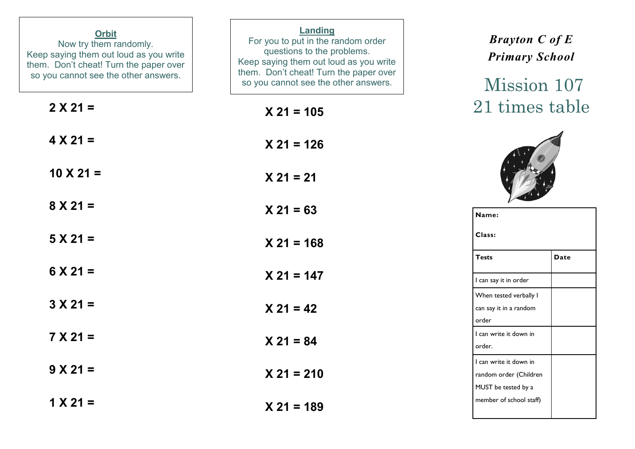| <b>Orbit</b><br>Now try them randomly.<br>Keep saying them out loud as you write<br>them. Don't cheat! Turn the paper over<br>so you cannot see the other answers. | Landing<br>For you to put in the random order<br>questions to the problems.<br>Keep saying them out loud as you write<br>them. Don't cheat! Turn the paper over<br>so you cannot see the other answers. | <b>Brayton C of E</b><br><b>Primary School</b><br>Mission 107           |
|--------------------------------------------------------------------------------------------------------------------------------------------------------------------|---------------------------------------------------------------------------------------------------------------------------------------------------------------------------------------------------------|-------------------------------------------------------------------------|
| $2 X 21 =$                                                                                                                                                         | $X 21 = 105$                                                                                                                                                                                            | 21 times table                                                          |
| $4 X 21 =$                                                                                                                                                         | $X 21 = 126$                                                                                                                                                                                            |                                                                         |
| $10 \times 21 =$                                                                                                                                                   | $X 21 = 21$                                                                                                                                                                                             |                                                                         |
| $8 X 21 =$                                                                                                                                                         | $X 21 = 63$                                                                                                                                                                                             | Name:                                                                   |
| $5 X 21 =$                                                                                                                                                         | $X 21 = 168$                                                                                                                                                                                            | Class:                                                                  |
| $6 \times 21 =$                                                                                                                                                    | $X 21 = 147$                                                                                                                                                                                            | <b>Tests</b><br><b>Date</b><br>I can say it in order                    |
| $3 X 21 =$                                                                                                                                                         | $X 21 = 42$                                                                                                                                                                                             | When tested verbally I<br>can say it in a random<br>order               |
| $7 X 21 =$                                                                                                                                                         | $X 21 = 84$                                                                                                                                                                                             | I can write it down in<br>order.                                        |
| $9 X 21 =$                                                                                                                                                         | $X 21 = 210$                                                                                                                                                                                            | I can write it down in<br>random order (Children<br>MUST be tested by a |
| $1 X 21 =$                                                                                                                                                         | $X 21 = 189$                                                                                                                                                                                            | member of school staff)                                                 |